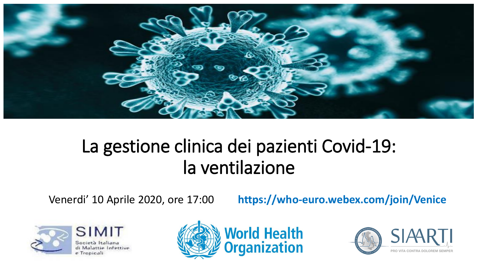

## La gestione clinica dei pazienti Covid-19: la ventilazione

Venerdi' 10 Aprile 2020, ore 17:00 **https://who-euro.webex.com/join/Venice**



di Malattie Infettive



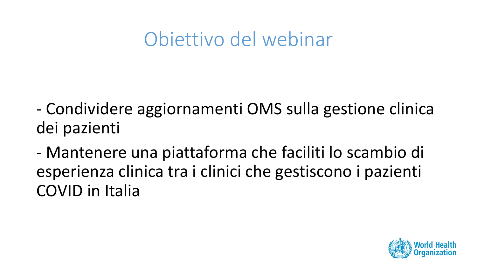## Obiettivo del webinar

- Condividere aggiornamenti OMS sulla gestione clinica dei pazienti
- Mantenere una piattaforma che faciliti lo scambio di esperienza clinica tra i clinici che gestiscono i pazienti COVID in Italia

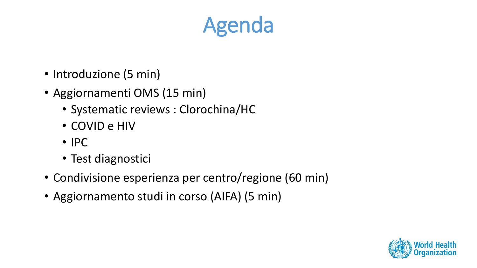# Agenda

- Introduzione (5 min)
- Aggiornamenti OMS (15 min)
	- Systematic reviews : Clorochina/HC
	- COVID e HIV
	- IPC
	- Test diagnostici
- Condivisione esperienza per centro/regione (60 min)
- Aggiornamento studi in corso (AIFA) (5 min)

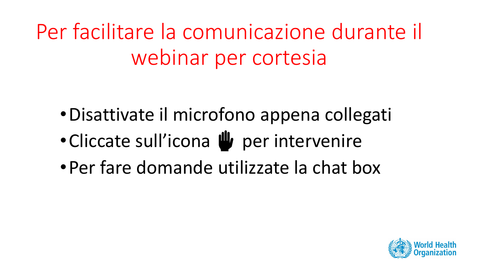Per facilitare la comunicazione durante il webinar per cortesia

- •Disattivate il microfono appena collegati
- Cliccate sull'icona W per intervenire
- •Per fare domande utilizzate la chat box

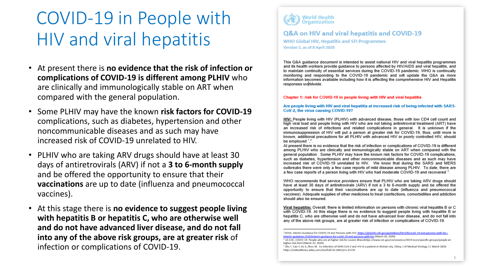## COVID-19 in People with HIV and viral hepatitis

- At present there is **no evidence that the risk of infection or complications of COVID-19 is different among PLHIV** who are clinically and immunologically stable on ART when compared with the general population.
- Some PLHIV may have the known **risk factors for COVID-19**  complications, such as diabetes, hypertension and other noncommunicable diseases and as such may have increased risk of COVID-19 unrelated to HIV.
- PLHIV who are taking ARV drugs should have at least 30 days of antiretrovirals (ARV) if not a **3 to 6-month supply**  and be offered the opportunity to ensure that their **vaccinations** are up to date (influenza and pneumococcal vaccines).
- At this stage there is **no evidence to suggest people living with hepatitis B or hepatitis C, who are otherwise well and do not have advanced liver disease, and do not fall into any of the above risk groups, are at greater risk** of infection or complications of COVID-19.



Q&A on HIV and viral hepatitis and COVID-19 **WHO Global HIV, Hepatitis and STI Programmes** Version 5, as of 8 April 2020

This Q&A quidance document is intended to assist national HIV and viral hepatitis programmes and its health workers provide quidance to persons affected by HIV/AIDS and viral hepatitis, and to maintain continuity of essential services during the COVID-19 pandemic. WHO is continually monitoring and responding to the COVID-19 pandemic and will update the Q&A as more information becomes available including how it is affecting the comprehensive HIV and Hepatitis responses worldwide.

#### Chapter 1: risk for COVID-19 in people living with HIV and viral hepatitis

Are people living with HIV and viral hepatitis at increased risk of being infected with SARS-CoV-2, the virus causing COVID-19?

HIV: People living with HIV (PLHIV) with advanced disease, those with low CD4 cell count and high viral load and people living with HIV who are not taking antiretroviral treatment (ART) have an increased risk of infections and related complications in general. It is unknown if the immunosuppression of HIV will put a person at greater risk for COVID-19, thus, until more is known, additional precautions for all PLHIV with advanced HIV or poorly controlled HIV, should be employed  $1.2$ 

At present there is no evidence that the risk of infection or complications of COVID-19 is different among PLHIV who are clinically and immunologically stable on ART when compared with the general population. Some PLHIV may have the known risk factors for COVID-19 complications. such as diabetes, hypertension and other noncommunicable diseases and as such may have increased risk of COVID-19 unrelated to HIV. We know that during the SARS and MERS outbreaks there were only a few case reports of mild disease among PLHIV. To date, there are a few case reports of a person living with HIV who had moderate COVID-19 and recovered <sup>3</sup>.

WHO recommends that service providers ensure that PLHIV who are taking ARV drugs should have at least 30 days of antiretrovirals (ARV) if not a 3 to 6-month supply and be offered the opportunity to ensure that their vaccinations are up to date (influenza and pneumococcal vaccines). Adequate supplies of other medicines to treat coinfections, comorbidities and addiction should also be ensured.

Viral hepatitis: Overall, there is limited information on persons with chronic viral hepatitis B or C with COVID-19. At this stage there is no evidence to suggest people living with hepatitis B or hepatitis C, who are otherwise well and do not have advanced liver disease, and do not fall into any of the above risk groups, are at greater risk of infection or complications of COVID-19.

<sup>&</sup>lt;sup>1</sup>DHHS, Interim Guidance for COVID-19 and Persons with HIV, https://aidsinfo.nih.gov/guidelines/html/8/covid-19-and-persons-with-hi interim-auidance-/554/interim-auidance-for-covid-19-and-persons-with-hiv (March 20, 2020)

<sup>&</sup>lt;sup>3</sup> US CDC, COVID-19: People who are at higher risk for severe illnesshttps://www.cdc.gov/coronavirus/2019-ncov/specific-groups/people-athigher-risk.html (March 22, 2020)

<sup>&</sup>lt;sup>1</sup> Zhu F, Cao Y, Xu S, Zhou M. Co-infection of SARS-CoV-2 and HIV in a patient in Wuhan city, China, J of Medical Virology 11 March 2020 https://onlinelibrary.wiley.com/doi/full/10.1002/jmv.25732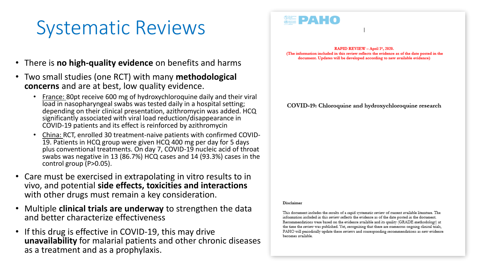## Systematic Reviews

- There is **no high-quality evidence** on benefits and harms
- Two small studies (one RCT) with many **methodological concerns** and are at best, low quality evidence.
	- France: 80pt receive 600 mg of hydroxychloroquine daily and their viral load in nasopharyngeal swabs was tested daily in a hospital setting; depending on their clinical presentation, azithromycin was added. HCQ significantly associated with viral load reduction/disappearance in COVID-19 patients and its effect is reinforced by azithromycin
	- China: RCT, enrolled 30 treatment-naive patients with confirmed COVID-19. Patients in HCQ group were given HCQ 400 mg per day for 5 days plus conventional treatments. On day 7, COVID-19 nucleic acid of throat swabs was negative in 13 (86.7%) HCQ cases and 14 (93.3%) cases in the control group (P>0.05).
- Care must be exercised in extrapolating in vitro results to in vivo, and potential **side effects, toxicities and interactions**  with other drugs must remain a key consideration.
- Multiple **clinical trials are underway** to strengthen the data and better characterize effectiveness
- If this drug is effective in COVID-19, this may drive **unavailability** for malarial patients and other chronic diseases as a treatment and as a prophylaxis.

RAPID REVIEW - April 1", 2020. (The information included in this review reflects the evidence as of the date posted in the document. Updates will be developed according to new available evidence)

COVID-19: Chloroquine and hydroxychloroquine research

#### Disclaimer

**SEPAHO** 

This document includes the results of a rapid systematic review of current available literature. The information included in this review reflects the evidence as of the date posted in the document. Recommendations were based on the evidence available and its quality (GRADE methodology) at the time the review was published. Yet, recognizing that there are numerous ongoing clinical trials, PAHO will periodically update these reviews and corresponding recommendations as new evidence becomes available.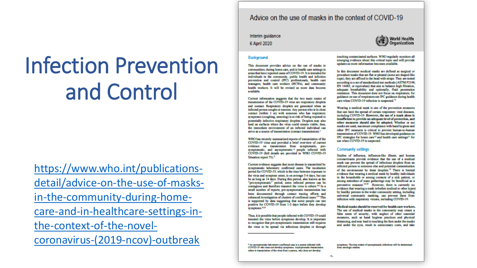# **Infection Prevention** and Control

https://www.who.int/publicationsdetail/advice-on-the-use-of-masksin-the-community-during-homecare-and-in-healthcare-settings-inthe-context-of-the-novelcoronavirus-(2019-ncov)-outbreak

#### Advice on the use of masks in the context of COVID-19

Interim guidance



#### Background

This document provides advice on the use of masks in communities, during home care, and in health care settings in areas that have reported cases of COVID-19. It is intended for individuals in the community, public health and infection prevention and control (IPC) professionals, health care managers, health care workers (HCWs), and community health workers. It will be revised as more data become available.

Current information suggests that the two main routes of transmission of the COVID-19 virus are respiratory droplets and contact. Respiratory droplets are generated when an infected person coughs or sneezes. Any person who is in close contact (within 1 m) with someone who has respiratory symptoms (coughing, sneezing) is at risk of being exposed to potentially infective respiratory droplets. Droplets may also land on surfaces where the virus could remain viable; thus, the immediate environment of an infected individual can serve as a source of transmission (contact transmission).<sup>1</sup>

WHO has recently summarized reports of transmission of the COVID-19 virus and provided a brief overview of current evidence on transmission from symptomatic, presymptomatic, and asymptomatic \* people infected with COVID-19 (full details are provided in WHO COVID-19 Situation report 73).<sup>2</sup>

Current evidence suggests that most disease is transmitted by symptomatic laboratory confirmed cases. The incubation period for COVID-19, which is the time between exposure to the virus and symptom onset, is on average 5-6 days, but can be as long as 14 days. During this period, also known as the "pre-symptomatic" period, some infected persons can be contagious and therefore transmit the virus to others.<sup>3.2</sup> In a small number of reports, pre-symptomatic transmission has been documented through contact tracing efforts and enhanced investigation of clusters of confirmed cases.<sup>3.4</sup> This is supported by data suggesting that some people can test positive for COVID-19 from 1-3 days before they develop symptoms.<sup>9,10</sup>

Thus, it is possible that people infected with COVID-19 could transmit the virus before symptoms develop. It is important to recognize that pre-symptomatic transmission still requires the virus to be spread via infectious droplets or through

\* An asymptomatic laboratory-confirmed case is a person infected with COVID-19 who does not develop symptoms. Asymptomatic transmission refers to transmission of the virus from a person, who does not develop-



symptoms. The true extent of asymptomatic infections will be determined from serologic studies.

touching contaminated surfaces. WHO regularly monitors all

emerging evidence about this critical topic and will provide updates as more information becomes available.

In this document medical masks are defined as surgical or

procedure masks that are flat or pleated (some are shaped like

cups); they are affixed to the head with straps. They are tested

according to a set of standardized test methods (ASTM F2100,

EN 14683, or equivalent) that aim to balance high filtration,

adequate breathability and optionally, fluid penetration

resistance. This document does not focus on respirators; for guidance on use of respirators see IPC guidance during health

Wearing a medical mask is one of the prevention measures

that can limit the spread of certain respiratory viral diseases.

including COVID-19. However, the use of a mask alone is

insufficient to provide an adequate level of protection, and

other measures should also be adopted. Whether or not

masks are used, maximum compliance with hand hygiene and

other IPC measures is critical to prevent human-to-human

transmission of COVID-19. WHO has developed guidance on IFC strategies for home care<sup>12</sup> and health care settings<sup>11</sup> for

Studies of influenza, influenza-like illness, and human

coronaviruses provide evidence that the use of a medical mask can prevent the spread of infectious droplets from an

infected person to someone else and potential contamination

of the environment by these droplets.<sup>13</sup> There is limited

evidence that wearing a medical mask by healthy individuals

in the households or among contacts of a sick patient, or

among attendees of mass gatherings may be beneficial as a

preventive measure.<sup>14:23</sup> However, there is currently no

evidence that wearing a mask (whether medical or other types)

by healthy persons in the wider community setting, including

universal community masking, can prevent them from

Medical masks should be reserved for health care workers.

The use of medical masks in the community may create a false sense of security, with neglect of other essential

measures, such as hand hygiene practices and physical

distancing, and may lead to touching the face under the masks

and under the eyes, result in unnecessary costs, and take

infection with respiratory viruses, including COVID-19.

care when COVID-19 infection is suspected.<sup>11</sup>

use when COVID-19 is suspected.

**Community settings** 

4.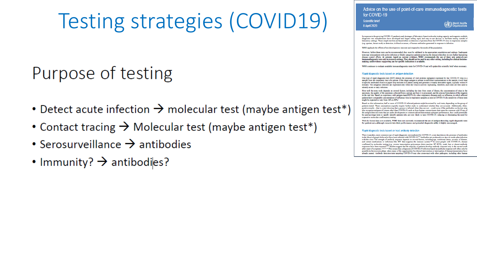# **Testing strategies (COVID19)**

## Purpose of testing

- Detect acute infection  $\rightarrow$  molecular test (maybe antigen test\*)
- Contact tracing  $\rightarrow$  Molecular test (maybe antigen test\*)
- Serosurveillance  $\rightarrow$  antibodies
- Immunity?  $\rightarrow$  antibodies?

Advice on the use of point-of-care immunodiagnostic tests for COVID-19

Scientific brief 8 April 2020

World Health

In represents to the progrimp COVID-19 number is and shortgase of laboratory Juged molecular testing cangeity and reagents, multiply diagnostic test manufacturers have developed and begun selling rapid and easy-to-use devices to facilitate testing outside of laboratory settings. These simple test kits are based either on detection of proteins from the COVID-19 virus in respiratory samples (e.g. sputum, throat swab) or detection, in blood or serum, of human antibodies generated in response to infection.

WHO applauds the efforts of test developers to innovate and respond to the needs of the population

However, before these tests can be recommended, they must be validated in the appropriate populations and settings. Inadequate tests may miss patients with active infection or falsely categorize patients as having the disease when they do not, further hampering disease control efforts. At present, based on current evidence, WHO recommends the use of these new point-of-care<br>immunodiagnostic tests only in research settings. They should not be used in any other setting, including fo making, until evidence supporting use for specific indications is available.

WHO continues to evaluate available immunodiagnostics tests for COVID-19 and will update this scientific brief when necessary

#### Rapid diagnostic tests based on antigen detection

One type of rapid diagnostic test (RDT) detects the presence of viral proteins (antigens) expressed by the COVID-19 virus in a sample from the respiratory tract of a person. If the target antigen is present in sufficient concentrations in the sample, it will bind<br>to specific antibodies fixed to a paper strip enclosed in a plastic casing and genera minutes. The antigen(s) detected are expressed only when the virus is actively replicating; therefore, such tests are best used to identify acute or early infection.

How well the tests work depends on several factors, including the time from onset of illness, the concentration of virus in the specimen, the quality of the specimen collected from a person and how it is processed, and the precise formulation of the reagents in the test kits. Based on experience with antigen-based RDTs for other respiratory diseases such as influenza, in which affected patients have comparable concentrations of influenza virus in respiratory samples as seen in COVID-19, the sensitivity of these tests night be expected to vary from 34% to 80%.<sup>1</sup>

Based on this information, half or more of COVID-19 infected patients might be missed by such tests, depending on the group of patients tested. These assumptions urgently require further study to understand whether they are accurate. Additionally, falsepositive results - that is, a test showing that a person is infected when they are not - could occur if the antibodies on the test strip also recognize antigens of viruses other than COVID-19, such as from human coronaviruses that cause the common cold. If any of the antigen detection tests that are under development or commercialized demonstrate adequate performance, they could poter be used as triage tests to rapidly identify patients who are very likely to have COVID-19, reducing or eliminating the need for expensive molecular confirmatory testing.

With the limited data now available, WHO does not currently recommend the use of antigen-detecting rapid diagnostic tests for patient care, although research into their performance and potential diagnostic utility is highly encouraged

#### Rapid diagnostic tests based on host antibody detection

There is another, more common type of rapid diagnostic test marketed for COVID-19; a test that detects the presence of antibodies in the blood of people believed to have been infected with COVID-19.<sup>25</sup> Antibodies are produced over days to weeks after infection with the virus. The strength of antibody response depends on several factors, including a and certain medications or infections like HIV that suppress the immune system.<sup>6.8</sup> In some people with COVID-19, disease so continued by molecular testing (e.g. reverse transcription polymerase durin reaction: RT-PCR), weak, late or absent antibody<br>responses have been reported <sup>4.1</sup><sup>2</sup> Stadies suggest that the majority of patients develop an already passed. Antibody detection tests targeting COVID-19 may also cross-react with other pathogens, including other human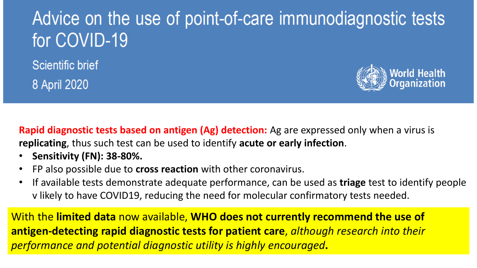## Advice on the use of point-of-care immunodiagnostic tests for COVID-19

**Scientific brief** 8 April 2020



**Rapid diagnostic tests based on antigen (Ag) detection:** Ag are expressed only when a virus is **replicating**, thus such test can be used to identify **acute or early infection**.

- **Sensitivity (FN): 38-80%.**
- FP also possible due to **cross reaction** with other coronavirus.
- If available tests demonstrate adequate performance, can be used as **triage** test to identify people v likely to have COVID19, reducing the need for molecular confirmatory tests needed.

With the **limited data** now available, **WHO does not currently recommend the use of antigen-detecting rapid diagnostic tests for patient care**, *although research into their performance and potential diagnostic utility is highly encouraged***.**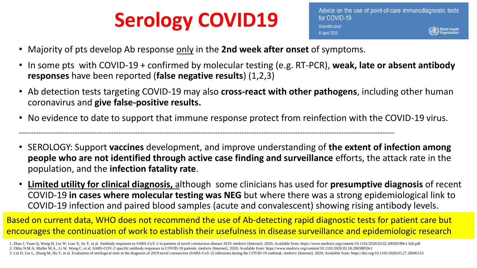# **Serology COVID19**

• Majority of pts develop Ab response only in the **2nd week after onset** of symptoms.

-----------------------------------------------------------------------------------------------------------------------------------------------------------

- In some pts with COVID-19 + confirmed by molecular testing (e.g. RT-PCR), **weak, late or absent antibody responses** have been reported (**false negative results**) (1,2,3)
- Ab detection tests targeting COVID-19 may also **cross-react with other pathogens**, including other human coronavirus and **give false-positive results.**
- No evidence to date to support that immune response protect from reinfection with the COVID-19 virus.
- SEROLOGY: Support **vaccines** development, and improve understanding of **the extent of infection among people who are not identified through active case finding and surveillance** efforts, the attack rate in the population, and the **infection fatality rate**.
- **Limited utility for clinical diagnosis,** although some clinicians has used for **presumptive diagnosis** of recent COVID-19 **in cases where molecular testing was NEG** but where there was a strong epidemiological link to COVID-19 infection and paired blood samples (acute and convalescent) showing rising antibody levels.

Based on current data, WHO does not recommend the use of Ab-detecting rapid diagnostic tests for patient care but encourages the continuation of work to establish their usefulness in disease surveillance and epidemiologic research

1. Zhao J, Yuan Q, Wang H, Liu W, Liao X, Su Y, et al. Antibody responses to SARS-CoV-2 in patients of novel coronavirus disease 2019. medxriv [Internet]. 2020; Available from: https://www.medrxiv.org/content/10.1101/2020. 2. Okba N.M.A, Muller M.A., Li W, Wang C, et al. SARS-COV-2 specific antibody responses in COVID-19 patients. medxriv [Internet]. 2020; Available from: https://www.medrxiv.org/content/10.1101/2020.03.18.20038059v1 3. Lin D, Liu L, Zhang M, Hu Y, et al. Evaluation of serological tests in the diagnosis of 2019 novel coronavirus (SARS-CoV-2) infections during the COVID-19 outbreak. medxriv [Internet]. 2020; Available from: https://doi.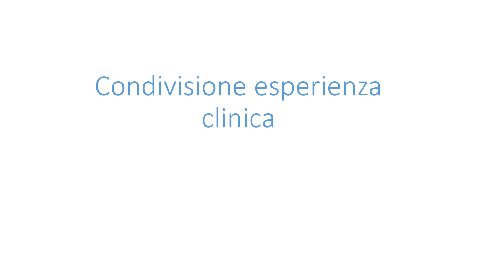# Condivisione esperienza clinica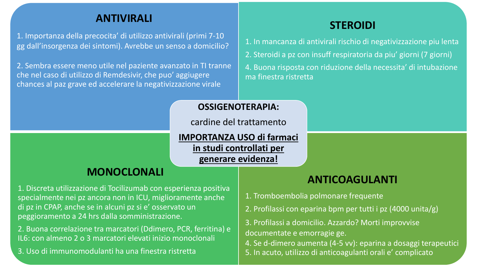### **ANTIVIRALI**

1. Importanza della precocita' di utilizzo antivirali (primi 7-10 gg dall'insorgenza dei sintomi). Avrebbe un senso a domicilio?

2. Sembra essere meno utile nel paziente avanzato in TI tranne che nel caso di utilizzo di Remdesivir, che puo' aggiugere chances al paz grave ed accelerare la negativizzazione virale

### **STEROIDI**

- 1. In mancanza di antivirali rischio di negativizzazione piu lenta
- 2. Steroidi a pz con insuff respiratoria da piu' giorni (7 giorni)
- 4. Buona risposta con riduzione della necessita' di intubazione ma finestra ristretta

#### **OSSIGENOTERAPIA:**

cardine del trattamento

**IMPORTANZA USO di farmaci in studi controllati per generare evidenza!** 

### **MONOCLONALI**

1. Discreta utilizzazione di Tocilizumab con esperienza positiva specialmente nei pz ancora non in ICU, miglioramente anche di pz in CPAP, anche se in alcuni pz si e' osservato un peggioramento a 24 hrs dalla somministrazione.

2. Buona correlazione tra marcatori (Ddimero, PCR, ferritina) e IL6: con almeno 2 o 3 marcatori elevati inizio monoclonali

3. Uso di immunomodulanti ha una finestra ristretta

### **ANTICOAGULANTI**

- 1. Tromboembolia polmonare frequente
- 2. Profilassi con eparina bpm per tutti i pz (4000 unita/g)
- 3. Profilassi a domicilio. Azzardo? Morti improvvise documentate e emorragie ge.
- 4. Se d-dimero aumenta (4-5 vv): eparina a dosaggi terapeutici 5. In acuto, utilizzo di anticoagulanti orali e' complicato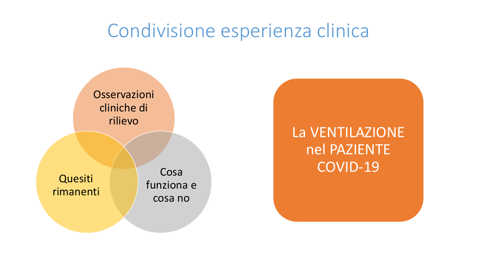### Condivisione esperienza clinica



La VENTILAZIONE nel PAZIENTE COVID-19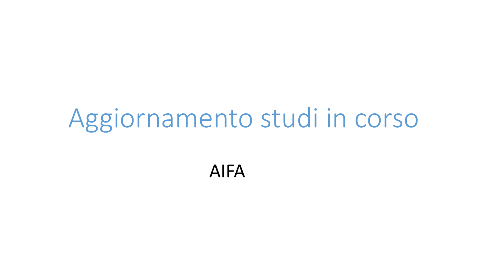# Aggiornamento studi in corso

### AIFA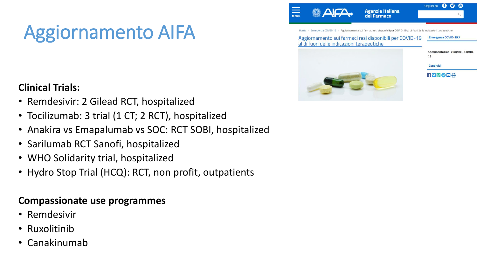# Aggiornamento AIFA

### **Clinical Trials:**

- Remdesivir: 2 Gilead RCT, hospitalized
- Tocilizumab: 3 trial (1 CT; 2 RCT), hospitalized
- Anakira vs Emapalumab vs SOC: RCT SOBI, hospitalized
- Sarilumab RCT Sanofi, hospitalized
- WHO Solidarity trial, hospitalized
- Hydro Stop Trial (HCQ): RCT, non profit, outpatients

### **Compassionate use programmes**

- Remdesivir
- Ruxolitinib
- Canakinumab

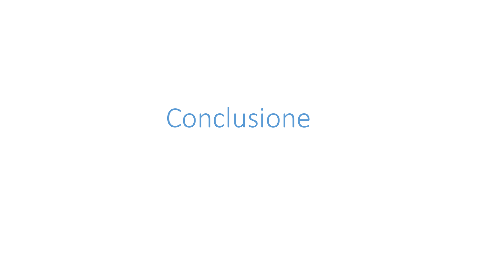# Conclusione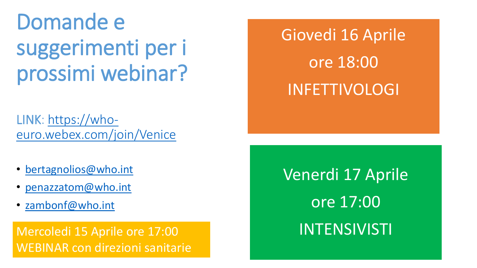Domande e suggerimenti per i prossimi webinar?

LINK: https://who[euro.webex.com/join/Venice](https://who-euro.webex.com/join/Venice)

- [bertagnolios@who.int](mailto:bertagnolios@who.int)
- [penazzatom@who.int](mailto:penazzatom@who.int)
- [zambonf@who.int](mailto:zambonf@who.int)

Mercoledi 15 Aprile ore 17:00 INTENSIVISTI WEBINAR con direzioni sanitarie

Giovedi 16 Aprile ore 18:00 INFETTIVOLOGI

Venerdi 17 Aprile ore 17:00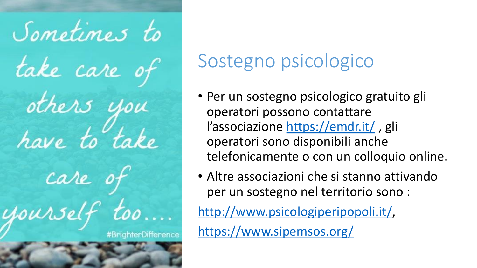

# Sostegno psicologico

- Per un sostegno psicologico gratuito gli operatori possono contattare l'associazione <https://emdr.it/> , gli operatori sono disponibili anche telefonicamente o con un colloquio online.
- Altre associazioni che si stanno attivando per un sostegno nel territorio sono :

<http://www.psicologiperipopoli.it/>,

<https://www.sipemsos.org/>